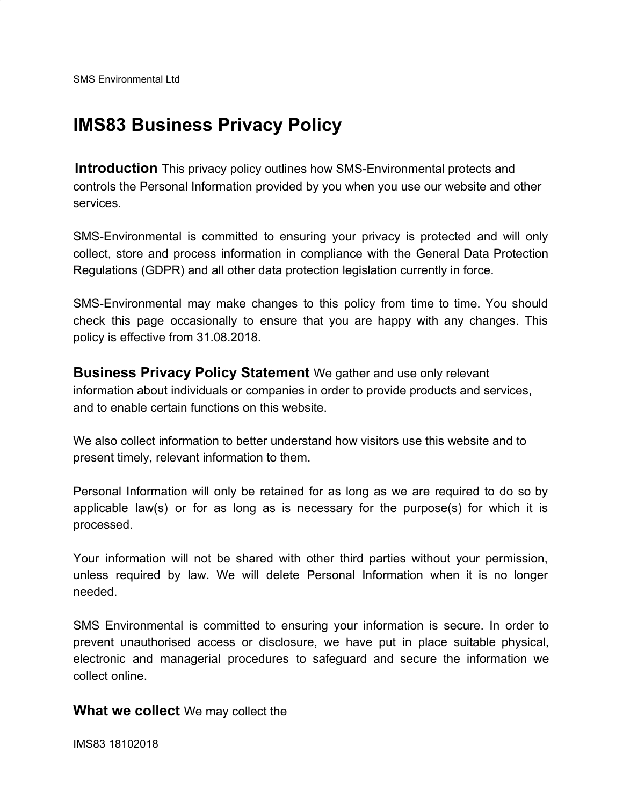## **IMS83 Business Privacy Policy**

**Introduction** This privacy policy outlines how SMS-Environmental protects and controls the Personal Information provided by you when you use our website and other services.

SMS-Environmental is committed to ensuring your privacy is protected and will only collect, store and process information in compliance with the General Data Protection Regulations (GDPR) and all other data protection legislation currently in force.

SMS-Environmental may make changes to this policy from time to time. You should check this page occasionally to ensure that you are happy with any changes. This policy is effective from 31.08.2018.

**Business Privacy Policy Statement** We gather and use only relevant information about individuals or companies in order to provide products and services, and to enable certain functions on this website.

We also collect information to better understand how visitors use this website and to present timely, relevant information to them.

Personal Information will only be retained for as long as we are required to do so by applicable law(s) or for as long as is necessary for the purpose(s) for which it is processed.

Your information will not be shared with other third parties without your permission, unless required by law. We will delete Personal Information when it is no longer needed.

SMS Environmental is committed to ensuring your information is secure. In order to prevent unauthorised access or disclosure, we have put in place suitable physical, electronic and managerial procedures to safeguard and secure the information we collect online.

## **What we collect** We may collect the

IMS83 18102018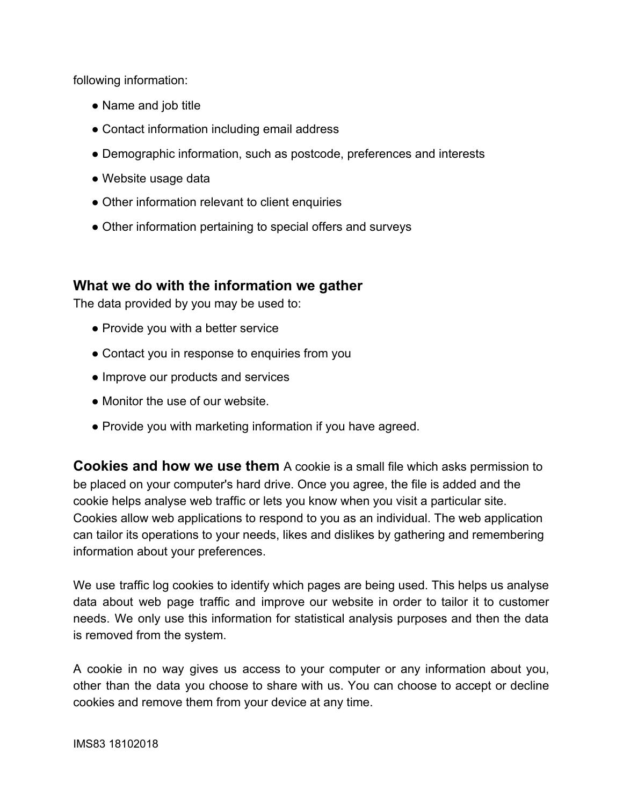following information:

- Name and job title
- Contact information including email address
- Demographic information, such as postcode, preferences and interests
- Website usage data
- Other information relevant to client enquiries
- Other information pertaining to special offers and surveys

## **What we do with the information we gather**

The data provided by you may be used to:

- Provide you with a better service
- Contact you in response to enquiries from you
- Improve our products and services
- Monitor the use of our website.
- Provide you with marketing information if you have agreed.

**Cookies and how we use them** A cookie is a small file which asks permission to be placed on your computer's hard drive. Once you agree, the file is added and the cookie helps analyse web traffic or lets you know when you visit a particular site. Cookies allow web applications to respond to you as an individual. The web application can tailor its operations to your needs, likes and dislikes by gathering and remembering information about your preferences.

We use traffic log cookies to identify which pages are being used. This helps us analyse data about web page traffic and improve our website in order to tailor it to customer needs. We only use this information for statistical analysis purposes and then the data is removed from the system.

A cookie in no way gives us access to your computer or any information about you, other than the data you choose to share with us. You can choose to accept or decline cookies and remove them from your device at any time.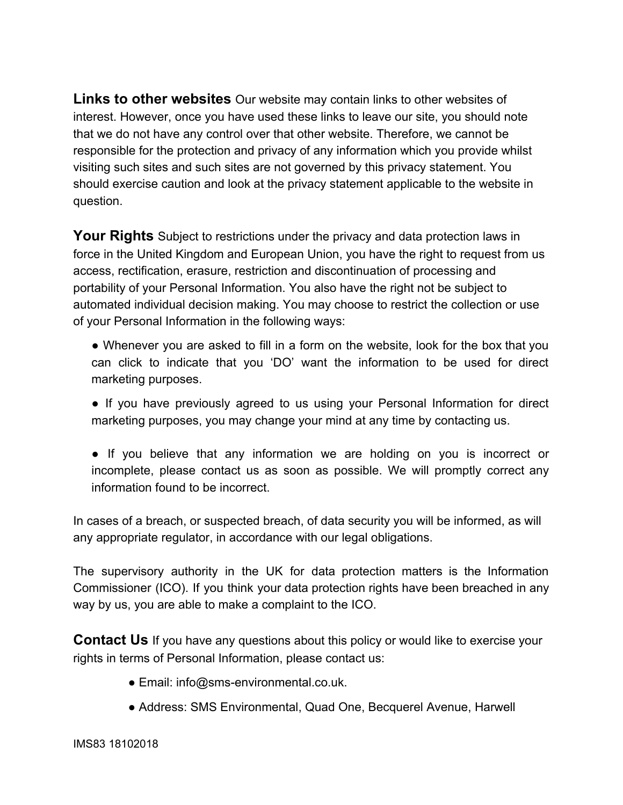**Links to other websites** Our website may contain links to other websites of interest. However, once you have used these links to leave our site, you should note that we do not have any control over that other website. Therefore, we cannot be responsible for the protection and privacy of any information which you provide whilst visiting such sites and such sites are not governed by this privacy statement. You should exercise caution and look at the privacy statement applicable to the website in question.

**Your Rights** Subject to restrictions under the privacy and data protection laws in force in the United Kingdom and European Union, you have the right to request from us access, rectification, erasure, restriction and discontinuation of processing and portability of your Personal Information. You also have the right not be subject to automated individual decision making. You may choose to restrict the collection or use of your Personal Information in the following ways:

- Whenever you are asked to fill in a form on the website, look for the box that you can click to indicate that you 'DO' want the information to be used for direct marketing purposes.
- If you have previously agreed to us using your Personal Information for direct marketing purposes, you may change your mind at any time by contacting us.
- If you believe that any information we are holding on you is incorrect or incomplete, please contact us as soon as possible. We will promptly correct any information found to be incorrect.

In cases of a breach, or suspected breach, of data security you will be informed, as will any appropriate regulator, in accordance with our legal obligations.

The supervisory authority in the UK for data protection matters is the Information Commissioner (ICO). If you think your data protection rights have been breached in any way by us, you are able to make a complaint to the ICO.

**Contact Us** If you have any questions about this policy or would like to exercise your rights in terms of Personal Information, please contact us:

- Email: info@sms-environmental.co.uk.
- Address: SMS Environmental, Quad One, Becquerel Avenue, Harwell